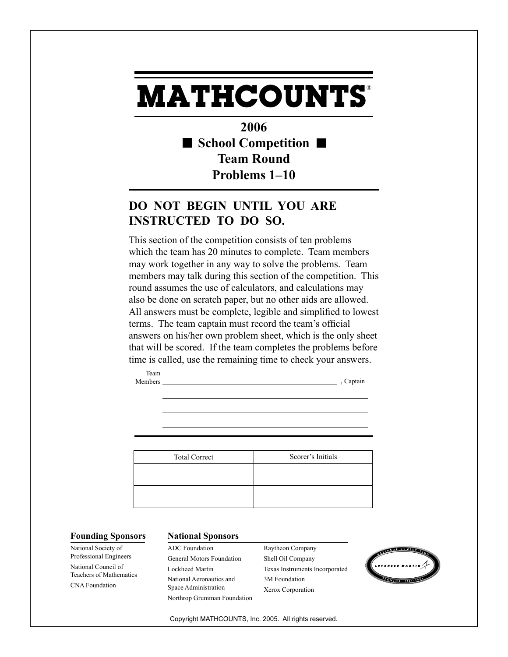## **MATHCOUNTS** ®

**2006 School Competition Team Round Problems 1–10**

## **DO NOT BEGIN UNTIL YOU ARE INSTRUCTED TO DO SO.**

This section of the competition consists of ten problems which the team has 20 minutes to complete. Team members may work together in any way to solve the problems. Team members may talk during this section of the competition. This round assumes the use of calculators, and calculations may also be done on scratch paper, but no other aids are allowed. All answers must be complete, legible and simplified to lowest terms. The team captain must record the team's official answers on his/her own problem sheet, which is the only sheet that will be scored. If the team completes the problems before time is called, use the remaining time to check your answers.

Team Members , Captain

Total Correct Scorer's Initials

National Society of Professional Engineers National Council of Teachers of Mathematics CNA Foundation

## **Founding Sponsors National Sponsors**

ADC Foundation General Motors Foundation Lockheed Martin National Aeronautics and Space Administration Northrop Grumman Foundation Raytheon Company Shell Oil Company Texas Instruments Incorporated 3M Foundation Xerox Corporation



Copyright MATHCOUNTS, Inc. 2005. All rights reserved.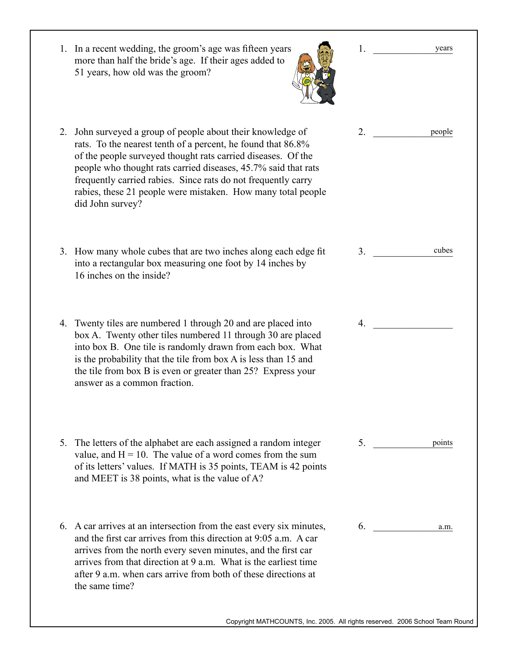|    | 1. In a recent wedding, the groom's age was fifteen years<br>more than half the bride's age. If their ages added to<br>51 years, how old was the groom?                                                                                                                                                                                                                                                            | 1.             | years  |
|----|--------------------------------------------------------------------------------------------------------------------------------------------------------------------------------------------------------------------------------------------------------------------------------------------------------------------------------------------------------------------------------------------------------------------|----------------|--------|
|    | 2. John surveyed a group of people about their knowledge of<br>rats. To the nearest tenth of a percent, he found that 86.8%<br>of the people surveyed thought rats carried diseases. Of the<br>people who thought rats carried diseases, 45.7% said that rats<br>frequently carried rabies. Since rats do not frequently carry<br>rabies, these 21 people were mistaken. How many total people<br>did John survey? | 2.             | people |
| 3. | How many whole cubes that are two inches along each edge fit<br>into a rectangular box measuring one foot by 14 inches by<br>16 inches on the inside?                                                                                                                                                                                                                                                              | 3 <sub>1</sub> | cubes  |
|    | 4. Twenty tiles are numbered 1 through 20 and are placed into<br>box A. Twenty other tiles numbered 11 through 30 are placed<br>into box B. One tile is randomly drawn from each box. What<br>is the probability that the tile from box A is less than 15 and<br>the tile from box B is even or greater than 25? Express your<br>answer as a common fraction.                                                      | 4.             |        |
|    | 5. The letters of the alphabet are each assigned a random integer<br>value, and $H = 10$ . The value of a word comes from the sum<br>of its letters' values. If MATH is 35 points, TEAM is 42 points<br>and MEET is 38 points, what is the value of A?                                                                                                                                                             | 5.             | points |
|    | 6. A car arrives at an intersection from the east every six minutes,<br>and the first car arrives from this direction at 9:05 a.m. A car<br>arrives from the north every seven minutes, and the first car<br>arrives from that direction at 9 a.m. What is the earliest time<br>after 9 a.m. when cars arrive from both of these directions at<br>the same time?                                                   | 6.             | a.m.   |

Copyright MATHCOUNTS, Inc. 2005. All rights reserved. 2006 School Team Round